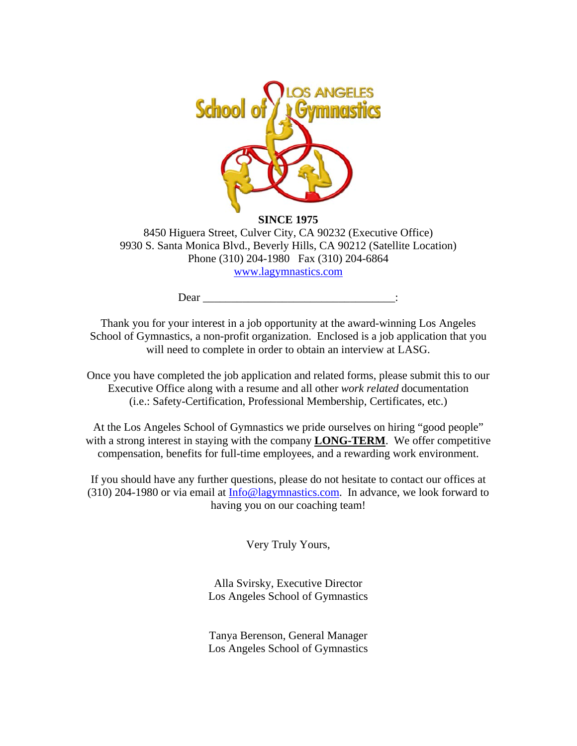

**SINCE 1975**  8450 Higuera Street, Culver City, CA 90232 (Executive Office) 9930 S. Santa Monica Blvd., Beverly Hills, CA 90212 (Satellite Location) Phone (310) 204-1980 Fax (310) 204-6864 www.lagymnastics.com

Dear  $\Box$ 

Thank you for your interest in a job opportunity at the award-winning Los Angeles School of Gymnastics, a non-profit organization. Enclosed is a job application that you will need to complete in order to obtain an interview at LASG.

Once you have completed the job application and related forms, please submit this to our Executive Office along with a resume and all other *work related* documentation (i.e.: Safety-Certification, Professional Membership, Certificates, etc.)

At the Los Angeles School of Gymnastics we pride ourselves on hiring "good people" with a strong interest in staying with the company **LONG-TERM**. We offer competitive compensation, benefits for full-time employees, and a rewarding work environment.

If you should have any further questions, please do not hesitate to contact our offices at (310) 204-1980 or via email at Info@lagymnastics.com. In advance, we look forward to having you on our coaching team!

Very Truly Yours,

Alla Svirsky, Executive Director Los Angeles School of Gymnastics

Tanya Berenson, General Manager Los Angeles School of Gymnastics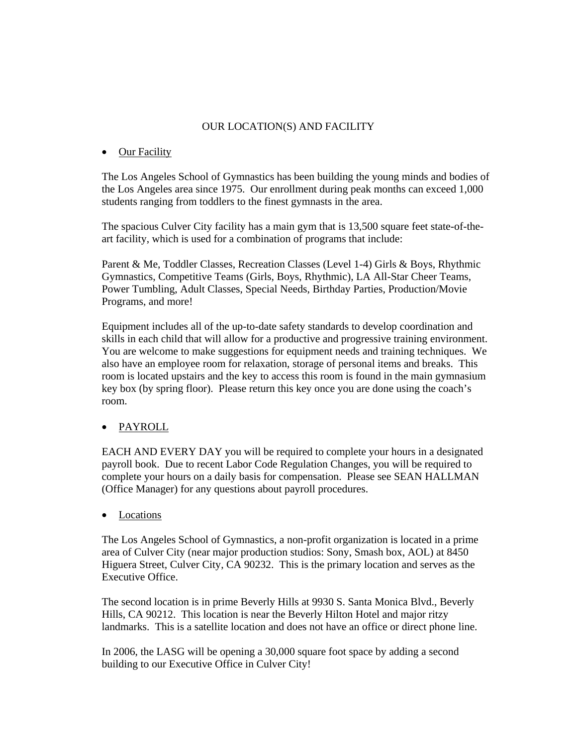#### OUR LOCATION(S) AND FACILITY

#### • Our Facility

The Los Angeles School of Gymnastics has been building the young minds and bodies of the Los Angeles area since 1975. Our enrollment during peak months can exceed 1,000 students ranging from toddlers to the finest gymnasts in the area.

The spacious Culver City facility has a main gym that is 13,500 square feet state-of-theart facility, which is used for a combination of programs that include:

Parent & Me, Toddler Classes, Recreation Classes (Level 1-4) Girls & Boys, Rhythmic Gymnastics, Competitive Teams (Girls, Boys, Rhythmic), LA All-Star Cheer Teams, Power Tumbling, Adult Classes, Special Needs, Birthday Parties, Production/Movie Programs, and more!

Equipment includes all of the up-to-date safety standards to develop coordination and skills in each child that will allow for a productive and progressive training environment. You are welcome to make suggestions for equipment needs and training techniques. We also have an employee room for relaxation, storage of personal items and breaks. This room is located upstairs and the key to access this room is found in the main gymnasium key box (by spring floor). Please return this key once you are done using the coach's room.

## • PAYROLL

EACH AND EVERY DAY you will be required to complete your hours in a designated payroll book. Due to recent Labor Code Regulation Changes, you will be required to complete your hours on a daily basis for compensation. Please see SEAN HALLMAN (Office Manager) for any questions about payroll procedures.

**Locations** 

The Los Angeles School of Gymnastics, a non-profit organization is located in a prime area of Culver City (near major production studios: Sony, Smash box, AOL) at 8450 Higuera Street, Culver City, CA 90232. This is the primary location and serves as the Executive Office.

The second location is in prime Beverly Hills at 9930 S. Santa Monica Blvd., Beverly Hills, CA 90212. This location is near the Beverly Hilton Hotel and major ritzy landmarks. This is a satellite location and does not have an office or direct phone line.

In 2006, the LASG will be opening a 30,000 square foot space by adding a second building to our Executive Office in Culver City!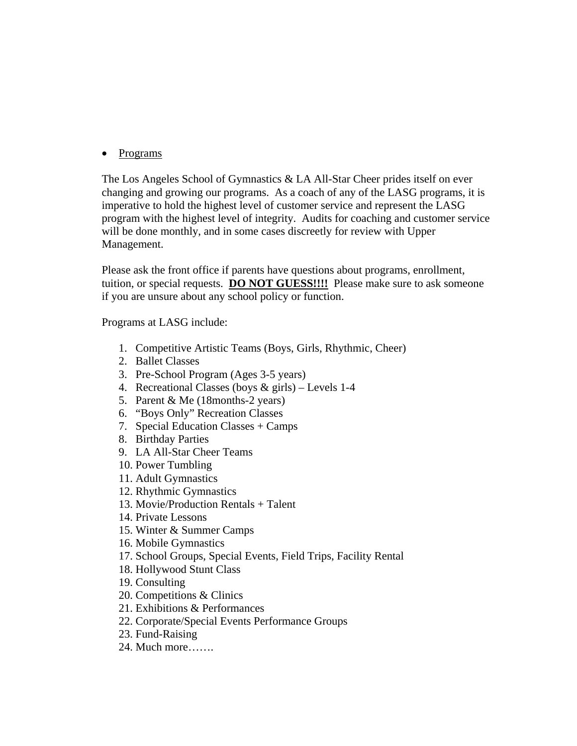## • Programs

The Los Angeles School of Gymnastics & LA All-Star Cheer prides itself on ever changing and growing our programs. As a coach of any of the LASG programs, it is imperative to hold the highest level of customer service and represent the LASG program with the highest level of integrity. Audits for coaching and customer service will be done monthly, and in some cases discreetly for review with Upper Management.

Please ask the front office if parents have questions about programs, enrollment, tuition, or special requests. **DO NOT GUESS!!!!** Please make sure to ask someone if you are unsure about any school policy or function.

Programs at LASG include:

- 1. Competitive Artistic Teams (Boys, Girls, Rhythmic, Cheer)
- 2. Ballet Classes
- 3. Pre-School Program (Ages 3-5 years)
- 4. Recreational Classes (boys & girls) Levels 1-4
- 5. Parent & Me (18months-2 years)
- 6. "Boys Only" Recreation Classes
- 7. Special Education Classes + Camps
- 8. Birthday Parties
- 9. LA All-Star Cheer Teams
- 10. Power Tumbling
- 11. Adult Gymnastics
- 12. Rhythmic Gymnastics
- 13. Movie/Production Rentals + Talent
- 14. Private Lessons
- 15. Winter & Summer Camps
- 16. Mobile Gymnastics
- 17. School Groups, Special Events, Field Trips, Facility Rental
- 18. Hollywood Stunt Class
- 19. Consulting
- 20. Competitions & Clinics
- 21. Exhibitions & Performances
- 22. Corporate/Special Events Performance Groups
- 23. Fund-Raising
- 24. Much more…….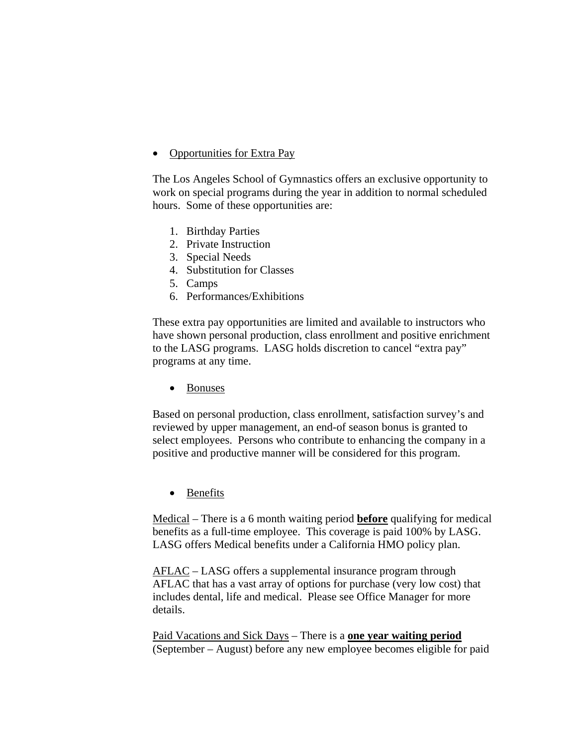#### • Opportunities for Extra Pay

The Los Angeles School of Gymnastics offers an exclusive opportunity to work on special programs during the year in addition to normal scheduled hours. Some of these opportunities are:

- 1. Birthday Parties
- 2. Private Instruction
- 3. Special Needs
- 4. Substitution for Classes
- 5. Camps
- 6. Performances/Exhibitions

These extra pay opportunities are limited and available to instructors who have shown personal production, class enrollment and positive enrichment to the LASG programs. LASG holds discretion to cancel "extra pay" programs at any time.

• Bonuses

Based on personal production, class enrollment, satisfaction survey's and reviewed by upper management, an end-of season bonus is granted to select employees. Persons who contribute to enhancing the company in a positive and productive manner will be considered for this program.

• Benefits

Medical – There is a 6 month waiting period **before** qualifying for medical benefits as a full-time employee. This coverage is paid 100% by LASG. LASG offers Medical benefits under a California HMO policy plan.

AFLAC – LASG offers a supplemental insurance program through AFLAC that has a vast array of options for purchase (very low cost) that includes dental, life and medical. Please see Office Manager for more details.

Paid Vacations and Sick Days – There is a **one year waiting period** (September – August) before any new employee becomes eligible for paid